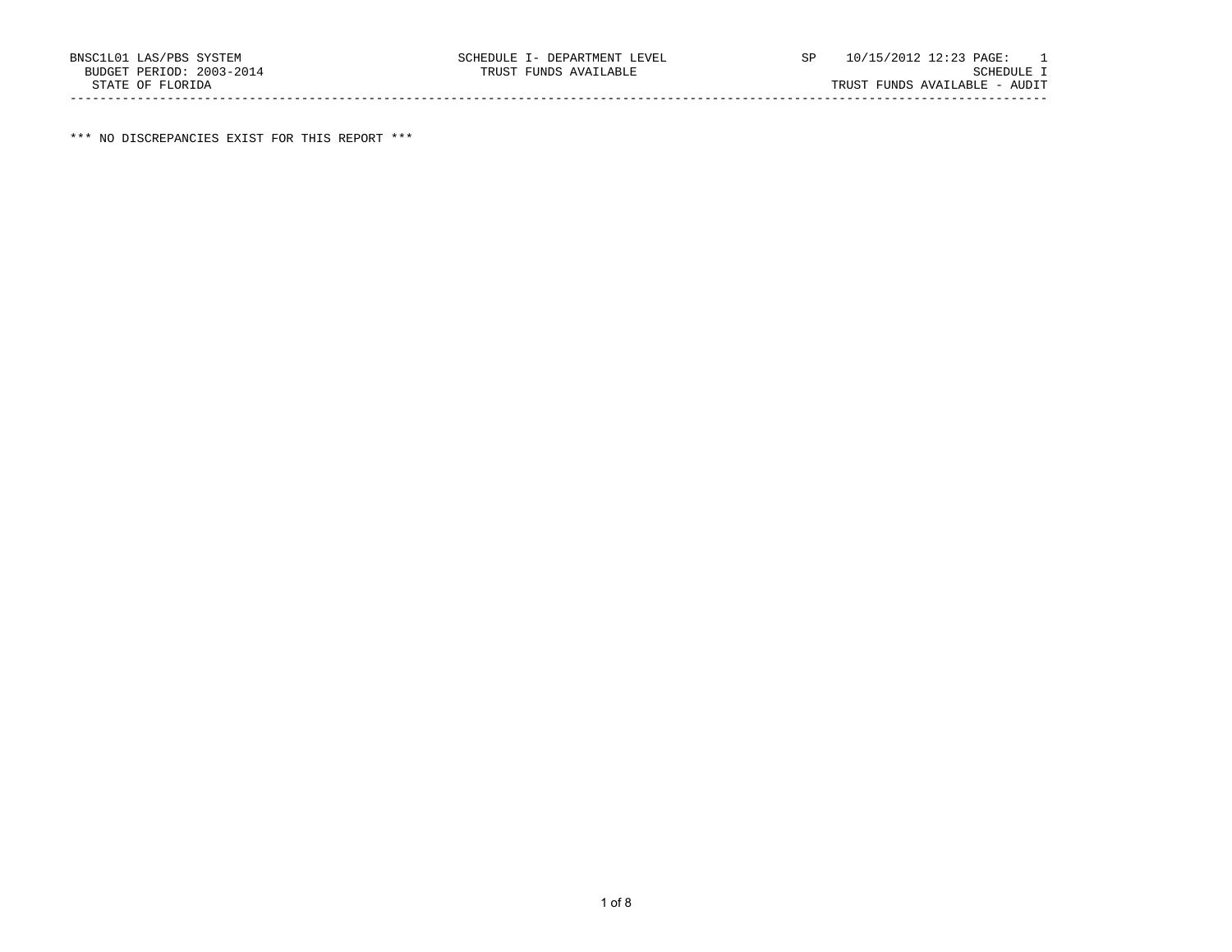\*\*\* NO DISCREPANCIES EXIST FOR THIS REPORT \*\*\*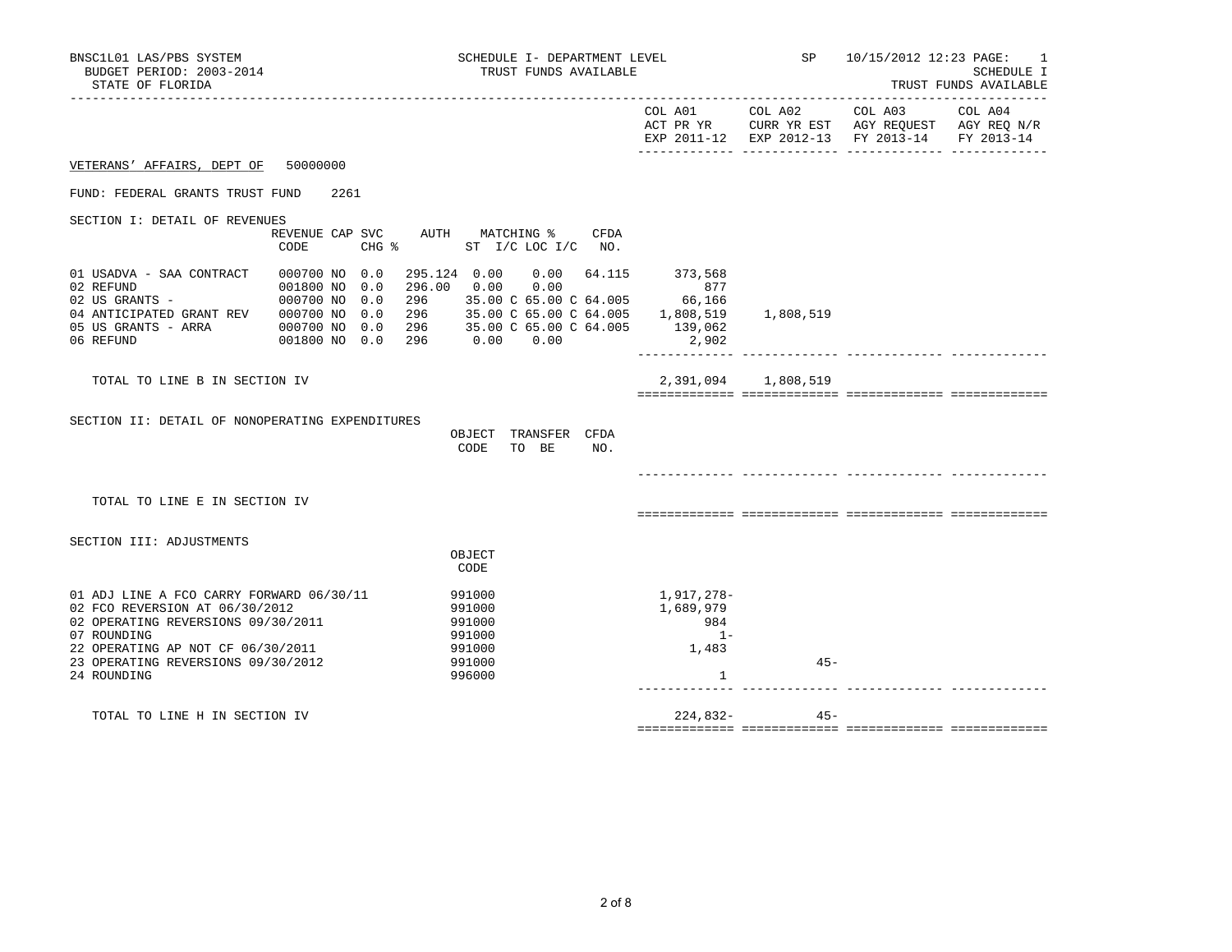|                                                 |                                |         |        |                                                   |      |                                      |                     | EXP 2011-12 EXP 2012-13 FY 2013-14 FY 2013-14 |  |
|-------------------------------------------------|--------------------------------|---------|--------|---------------------------------------------------|------|--------------------------------------|---------------------|-----------------------------------------------|--|
| VETERANS' AFFAIRS, DEPT OF<br>50000000          |                                |         |        |                                                   |      |                                      |                     |                                               |  |
| FUND: FEDERAL GRANTS TRUST FUND                 | 2261                           |         |        |                                                   |      |                                      |                     |                                               |  |
| SECTION I: DETAIL OF REVENUES                   |                                |         |        |                                                   |      |                                      |                     |                                               |  |
|                                                 | REVENUE CAP SVC                |         |        | AUTH MATCHING %                                   | CFDA |                                      |                     |                                               |  |
| CODE                                            |                                | $CHG$ % |        | ST I/C LOC I/C NO.                                |      |                                      |                     |                                               |  |
| 01 USADVA - SAA CONTRACT<br>02 REFUND           | 000700 NO 0.0<br>001800 NO 0.0 |         |        | 295.124  0.00  0.00  64.115<br>296.00  0.00  0.00 |      | 373,568<br>877                       |                     |                                               |  |
| 02 US GRANTS -                                  | 000700 NO 0.0                  |         |        |                                                   |      | 296 35.00 C 65.00 C 64.005 66,166    |                     |                                               |  |
| 04 ANTICIPATED GRANT REV                        | 000700 NO 0.0                  |         |        |                                                   |      | 296 35.00 C 65.00 C 64.005 1,808,519 | 1,808,519           |                                               |  |
| 05 US GRANTS - ARRA                             | 000700 NO 0.0                  |         |        | 296 35.00 C 65.00 C 64.005                        |      | 139,062                              |                     |                                               |  |
| 06 REFUND                                       | 001800 NO 0.0                  |         |        | 296   0.00   0.00                                 |      | 2,902                                |                     |                                               |  |
| TOTAL TO LINE B IN SECTION IV                   |                                |         |        |                                                   |      |                                      | 2,391,094 1,808,519 |                                               |  |
|                                                 |                                |         |        |                                                   |      |                                      |                     |                                               |  |
|                                                 |                                |         |        |                                                   |      |                                      |                     |                                               |  |
| SECTION II: DETAIL OF NONOPERATING EXPENDITURES |                                |         |        |                                                   |      |                                      |                     |                                               |  |
|                                                 |                                |         |        | OBJECT TRANSFER CFDA                              |      |                                      |                     |                                               |  |
|                                                 |                                |         | CODE   | TO BE                                             | NO.  |                                      |                     |                                               |  |
|                                                 |                                |         |        |                                                   |      |                                      |                     |                                               |  |
|                                                 |                                |         |        |                                                   |      |                                      |                     |                                               |  |
| TOTAL TO LINE E IN SECTION IV                   |                                |         |        |                                                   |      |                                      |                     |                                               |  |
|                                                 |                                |         |        |                                                   |      |                                      |                     |                                               |  |
| SECTION III: ADJUSTMENTS                        |                                |         |        |                                                   |      |                                      |                     |                                               |  |
|                                                 |                                |         | OBJECT |                                                   |      |                                      |                     |                                               |  |
|                                                 |                                |         | CODE   |                                                   |      |                                      |                     |                                               |  |
| 01 ADJ LINE A FCO CARRY FORWARD 06/30/11        |                                |         | 991000 |                                                   |      | 1,917,278-                           |                     |                                               |  |
| 02 FCO REVERSION AT 06/30/2012                  |                                |         | 991000 |                                                   |      | 1,689,979                            |                     |                                               |  |
| 02 OPERATING REVERSIONS 09/30/2011              |                                |         | 991000 |                                                   |      | 984                                  |                     |                                               |  |
| 07 ROUNDING                                     |                                |         | 991000 |                                                   |      | $1 -$                                |                     |                                               |  |
| 22 OPERATING AP NOT CF 06/30/2011               |                                |         | 991000 |                                                   |      | 1,483                                |                     |                                               |  |
| 23 OPERATING REVERSIONS 09/30/2012              |                                |         | 991000 |                                                   |      |                                      | $45 -$              |                                               |  |
| 24 ROUNDING                                     |                                |         | 996000 |                                                   |      | 1                                    |                     |                                               |  |
|                                                 |                                |         |        |                                                   |      |                                      |                     |                                               |  |
| TOTAL TO LINE H IN SECTION IV                   |                                |         |        |                                                   |      | $224,832-$                           | $45-$               |                                               |  |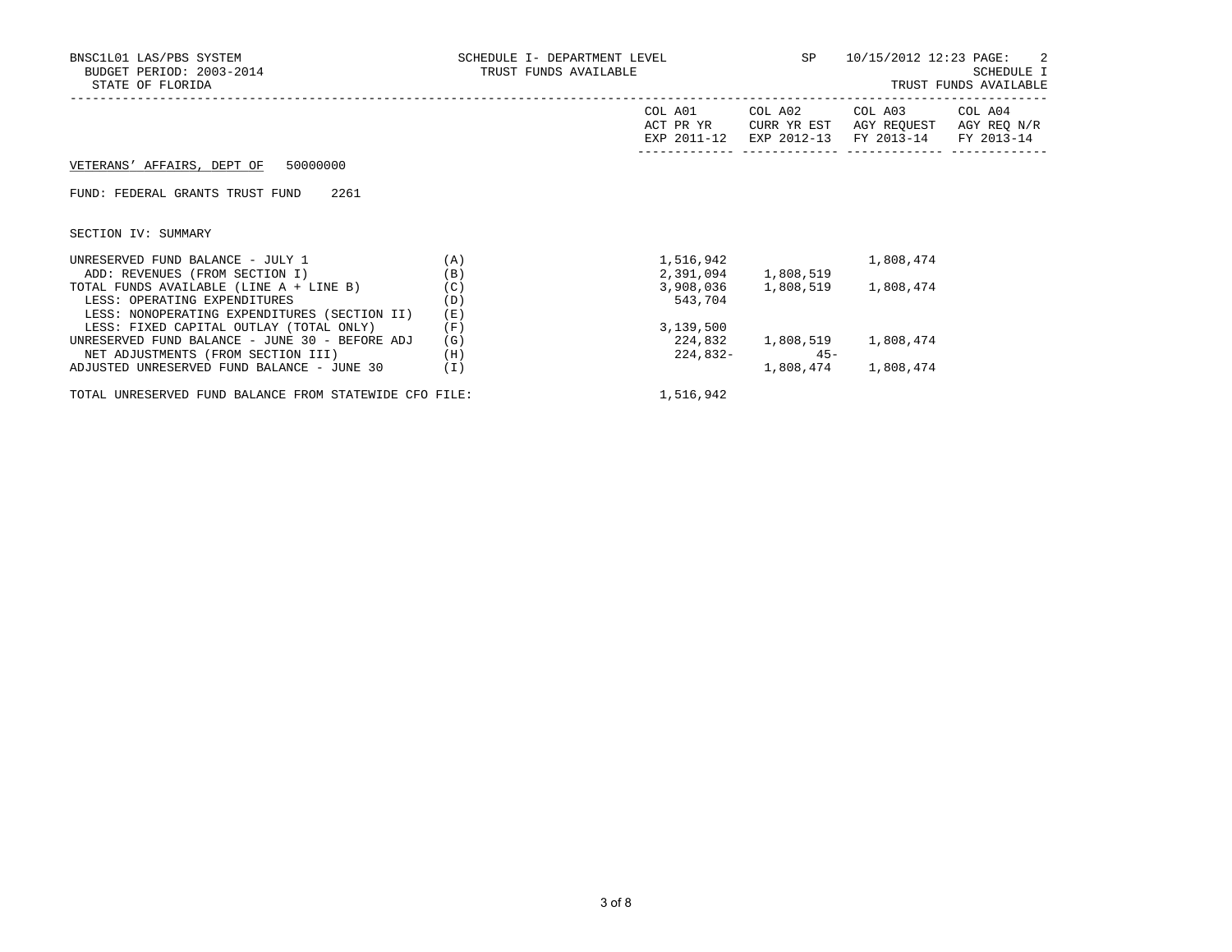| BNSC1L01 LAS/PBS SYSTEM<br>BUDGET PERIOD: 2003-2014<br>STATE OF FLORIDA                                                 | SCHEDULE I- DEPARTMENT LEVEL<br>TRUST FUNDS AVAILABLE<br>___________________________________ |                      | SP                               | 10/15/2012 12:23 PAGE: 2<br>SCHEDULE I<br>TRUST FUNDS AVAILABLE                             |  |  |
|-------------------------------------------------------------------------------------------------------------------------|----------------------------------------------------------------------------------------------|----------------------|----------------------------------|---------------------------------------------------------------------------------------------|--|--|
|                                                                                                                         |                                                                                              | COL A01<br>ACT PR YR | COL A02<br>CURR YR EST           | COL A03 COL A04<br>AGY REQUEST AGY REQ N/R<br>EXP 2011-12 EXP 2012-13 FY 2013-14 FY 2013-14 |  |  |
| VETERANS' AFFAIRS, DEPT OF 50000000                                                                                     |                                                                                              |                      |                                  |                                                                                             |  |  |
| 2261<br>FUND: FEDERAL GRANTS TRUST FUND                                                                                 |                                                                                              |                      |                                  |                                                                                             |  |  |
| SECTION IV: SUMMARY                                                                                                     |                                                                                              |                      |                                  |                                                                                             |  |  |
| UNRESERVED FUND BALANCE - JULY 1<br>ADD: REVENUES (FROM SECTION I)                                                      | (A)<br>(B)                                                                                   |                      | 1,516,942<br>2,391,094 1,808,519 | 1,808,474                                                                                   |  |  |
| TOTAL FUNDS AVAILABLE (LINE A + LINE B)<br>LESS: OPERATING EXPENDITURES<br>LESS: NONOPERATING EXPENDITURES (SECTION II) | (C)<br>(D)<br>(E)                                                                            | 543,704              |                                  | 3,908,036 1,808,519 1,808,474                                                               |  |  |
| LESS: FIXED CAPITAL OUTLAY (TOTAL ONLY)                                                                                 | (F)                                                                                          | 3,139,500            |                                  |                                                                                             |  |  |
| UNRESERVED FUND BALANCE - JUNE 30 - BEFORE ADJ<br>NET ADJUSTMENTS (FROM SECTION III)                                    | (G)<br>(H)                                                                                   | 224,832-             | $45 -$                           | 224,832 1,808,519 1,808,474                                                                 |  |  |
| ADJUSTED UNRESERVED FUND BALANCE - JUNE 30                                                                              | (I)                                                                                          |                      |                                  | 1,808,474 1,808,474                                                                         |  |  |

TOTAL UNRESERVED FUND BALANCE FROM STATEWIDE CFO FILE:  $1,516,942$ 

3 of 8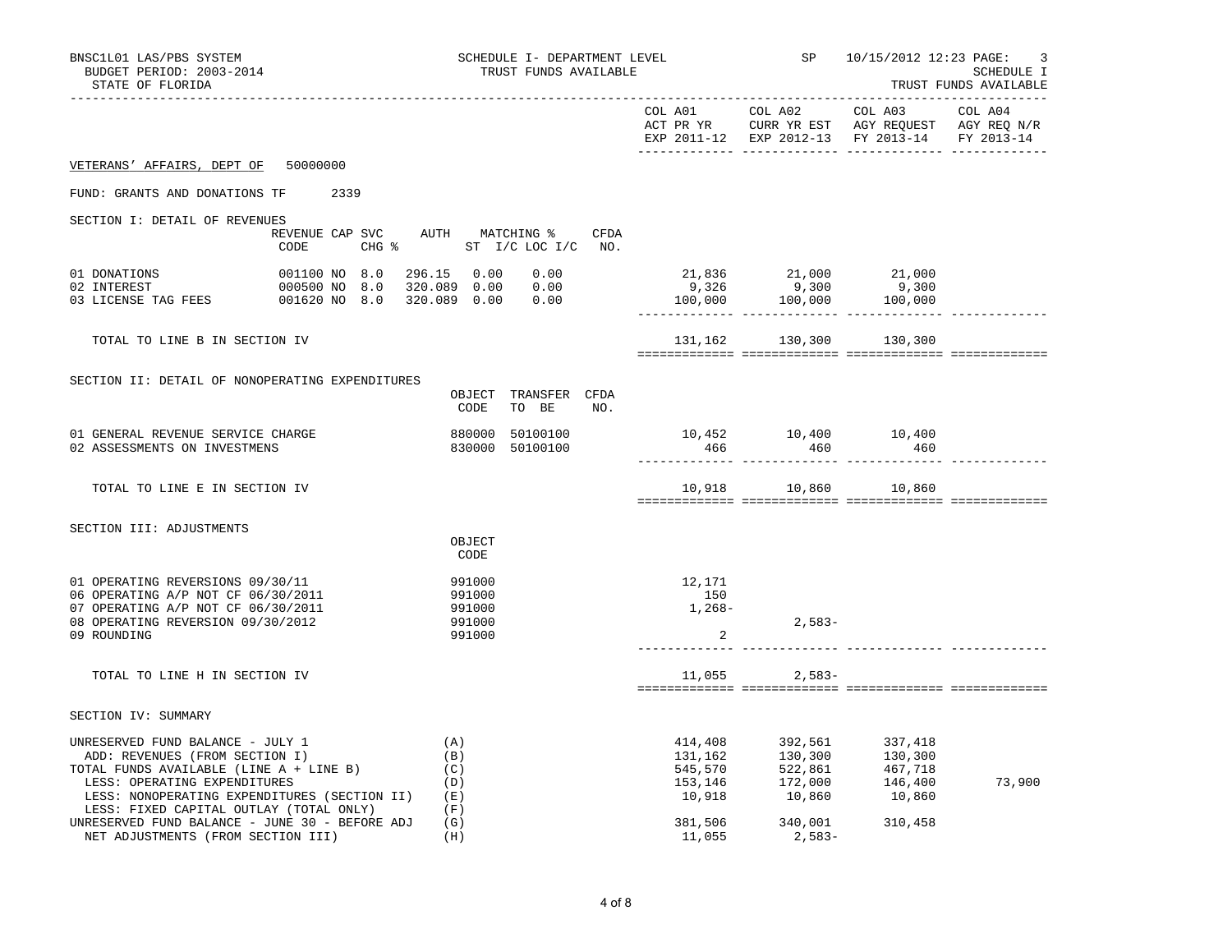| BNSC1L01 LAS/PBS SYSTEM<br>BUDGET PERIOD: 2003-2014<br>STATE OF FLORIDA                                                                                                                                                                      |                                                                                                                                      | SCHEDULE I- DEPARTMENT LEVEL<br>TRUST FUNDS AVAILABLE            |                                                    |                     | SP 10/15/2012 12:23 PAGE:<br>3<br>SCHEDULE I<br>TRUST FUNDS AVAILABLE                                                                                                                         |        |  |
|----------------------------------------------------------------------------------------------------------------------------------------------------------------------------------------------------------------------------------------------|--------------------------------------------------------------------------------------------------------------------------------------|------------------------------------------------------------------|----------------------------------------------------|---------------------|-----------------------------------------------------------------------------------------------------------------------------------------------------------------------------------------------|--------|--|
|                                                                                                                                                                                                                                              |                                                                                                                                      |                                                                  |                                                    |                     | EXP 2011-12 EXP 2012-13 FY 2013-14 FY 2013-14                                                                                                                                                 |        |  |
| VETERANS' AFFAIRS, DEPT OF 50000000                                                                                                                                                                                                          |                                                                                                                                      |                                                                  |                                                    |                     |                                                                                                                                                                                               |        |  |
| FUND: GRANTS AND DONATIONS TF                                                                                                                                                                                                                | 2339                                                                                                                                 |                                                                  |                                                    |                     |                                                                                                                                                                                               |        |  |
| SECTION I: DETAIL OF REVENUES                                                                                                                                                                                                                | CODE                                                                                                                                 | REVENUE CAP SVC AUTH MATCHING % CFDA<br>CHG % ST I/C LOC I/C NO. |                                                    |                     |                                                                                                                                                                                               |        |  |
| 01 DONATIONS<br>02 INTEREST<br>03 LICENSE TAG FEES                                                                                                                                                                                           | 001100 NO 8.0 296.15 0.00 0.00<br>000500 NO   8.0     320.089    0.00        0.00<br>001620 NO   8.0     320.089    0.00        0.00 | 0.00                                                             |                                                    |                     | $\begin{array}{cccc} 21\,, 836 &\qquad & 21\,, 000 &\qquad & 21\,, 000 \\ 9\,, 326 &\qquad & 9\,, 300 &\qquad & 9\,, 300 \\ 100\,, 000 &\qquad & 100\,, 000 &\qquad & 100\,, 000 \end{array}$ |        |  |
| TOTAL TO LINE B IN SECTION IV                                                                                                                                                                                                                |                                                                                                                                      |                                                                  |                                                    |                     | 131,162 130,300 130,300                                                                                                                                                                       |        |  |
| SECTION II: DETAIL OF NONOPERATING EXPENDITURES                                                                                                                                                                                              |                                                                                                                                      | OBJECT TRANSFER CFDA<br>CODE<br>TO BE NO.                        |                                                    |                     |                                                                                                                                                                                               |        |  |
| 01 GENERAL REVENUE SERVICE CHARGE<br>02 ASSESSMENTS ON INVESTMENS                                                                                                                                                                            |                                                                                                                                      | 880000 50100100<br>830000 50100100                               | 466                                                | 460                 | $10,452$ $10,400$ $10,400$<br>460                                                                                                                                                             |        |  |
| TOTAL TO LINE E IN SECTION IV                                                                                                                                                                                                                |                                                                                                                                      |                                                                  |                                                    |                     | 10,918    10,860    10,860                                                                                                                                                                    |        |  |
| SECTION III: ADJUSTMENTS                                                                                                                                                                                                                     |                                                                                                                                      | OBJECT<br>CODE                                                   |                                                    |                     |                                                                                                                                                                                               |        |  |
| 01 OPERATING REVERSIONS 09/30/11<br>06 OPERATING A/P NOT CF 06/30/2011<br>07 OPERATING A/P NOT CF 06/30/2011<br>08 OPERATING REVERSION 09/30/2012<br>09 ROUNDING                                                                             |                                                                                                                                      | 991000<br>991000<br>991000<br>991000<br>991000                   | 12,171<br>150<br>1,268–<br>2                       | $2,583-$            |                                                                                                                                                                                               |        |  |
| TOTAL TO LINE H IN SECTION IV                                                                                                                                                                                                                |                                                                                                                                      |                                                                  |                                                    | $11,055$ 2,583-     |                                                                                                                                                                                               |        |  |
| SECTION IV: SUMMARY                                                                                                                                                                                                                          |                                                                                                                                      |                                                                  |                                                    |                     |                                                                                                                                                                                               |        |  |
| UNRESERVED FUND BALANCE - JULY 1<br>ADD: REVENUES (FROM SECTION I)<br>TOTAL FUNDS AVAILABLE (LINE A + LINE B)<br>LESS: OPERATING EXPENDITURES<br>LESS: NONOPERATING EXPENDITURES (SECTION II) (E)<br>LESS: FIXED CAPITAL OUTLAY (TOTAL ONLY) |                                                                                                                                      | (A)<br>(B)<br>(C)<br>(D)<br>(F)                                  | 414,408<br>131,162<br>545,570<br>153,146<br>10,918 |                     | $\begin{array}{cccc} 392, 561 & & 337, 418 \\ 130, 300 & & 130, 300 \\ 522, 861 & & 467, 718 \\ 172, 000 & & 146, 400 \\ 10, 860 & & 10, 860 \end{array}$                                     | 73,900 |  |
| UNRESERVED FUND BALANCE - JUNE 30 - BEFORE ADJ<br>NET ADJUSTMENTS (FROM SECTION III)                                                                                                                                                         |                                                                                                                                      | (G)<br>(H)                                                       | 381,506<br>11,055                                  | 340,001<br>$2,583-$ | 310,458                                                                                                                                                                                       |        |  |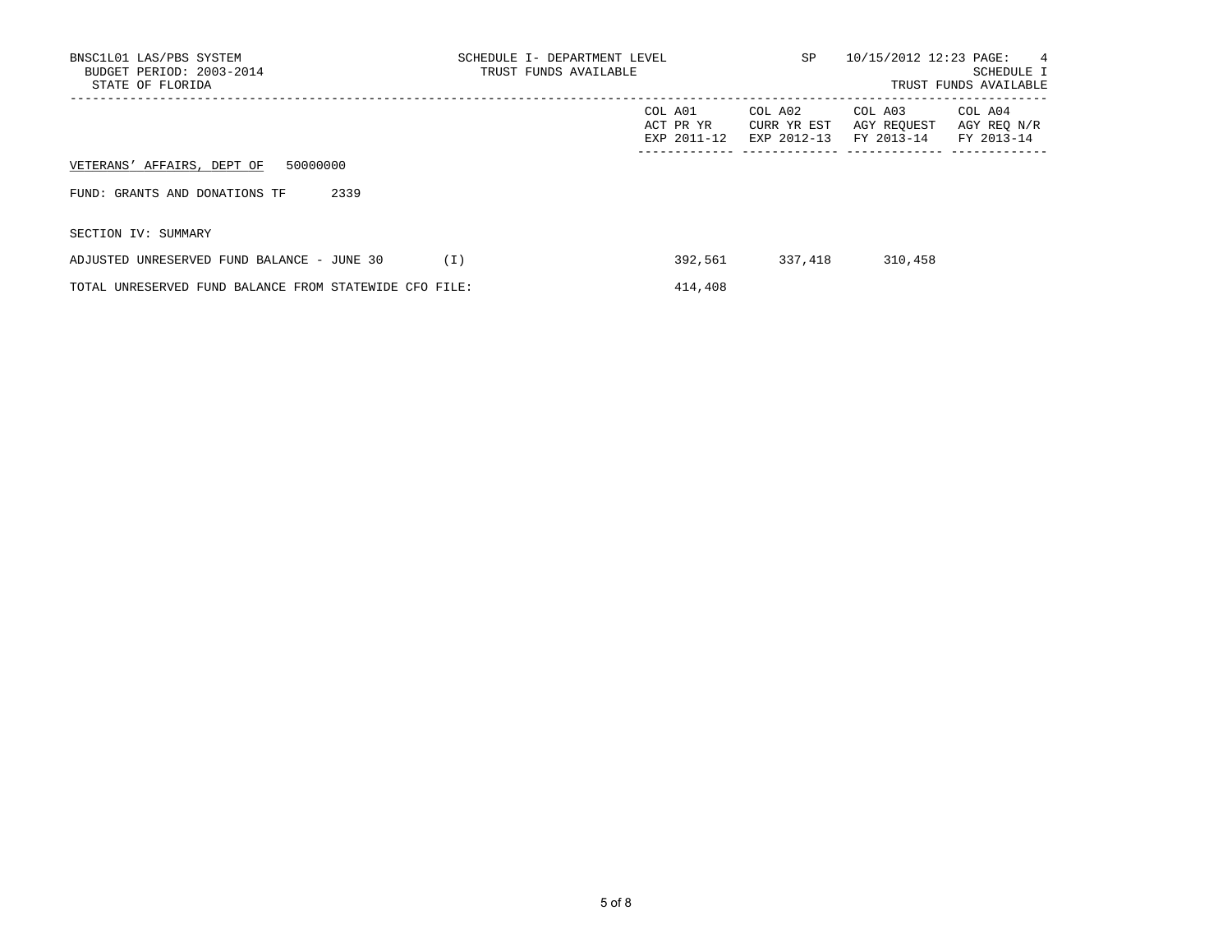| BNSC1L01 LAS/PBS SYSTEM<br>BUDGET PERIOD: 2003-2014<br>STATE OF FLORIDA | SCHEDULE I- DEPARTMENT LEVEL<br>TRUST FUNDS AVAILABLE | SP                                    | 10/15/2012 12:23 PAGE:               | 4<br><b>SCHEDULE I</b><br>TRUST FUNDS AVAILABLE |  |
|-------------------------------------------------------------------------|-------------------------------------------------------|---------------------------------------|--------------------------------------|-------------------------------------------------|--|
|                                                                         | COL A01<br>ACT PR YR<br>EXP 2011-12                   | COL A02<br>CURR YR EST<br>EXP 2012-13 | COL A03<br>AGY REOUEST<br>FY 2013-14 | COL A04<br>AGY REO N/R<br>FY 2013-14            |  |
| 50000000<br>VETERANS' AFFAIRS, DEPT OF                                  |                                                       |                                       |                                      |                                                 |  |
| 2339<br>FUND: GRANTS AND DONATIONS TF                                   |                                                       |                                       |                                      |                                                 |  |
| SECTION IV: SUMMARY                                                     |                                                       |                                       |                                      |                                                 |  |
| ADJUSTED UNRESERVED FUND BALANCE - JUNE 30                              | 392,561<br>(T)                                        | 337,418                               | 310,458                              |                                                 |  |
| TOTAL UNRESERVED FUND BALANCE FROM STATEWIDE CFO FILE:                  | 414,408                                               |                                       |                                      |                                                 |  |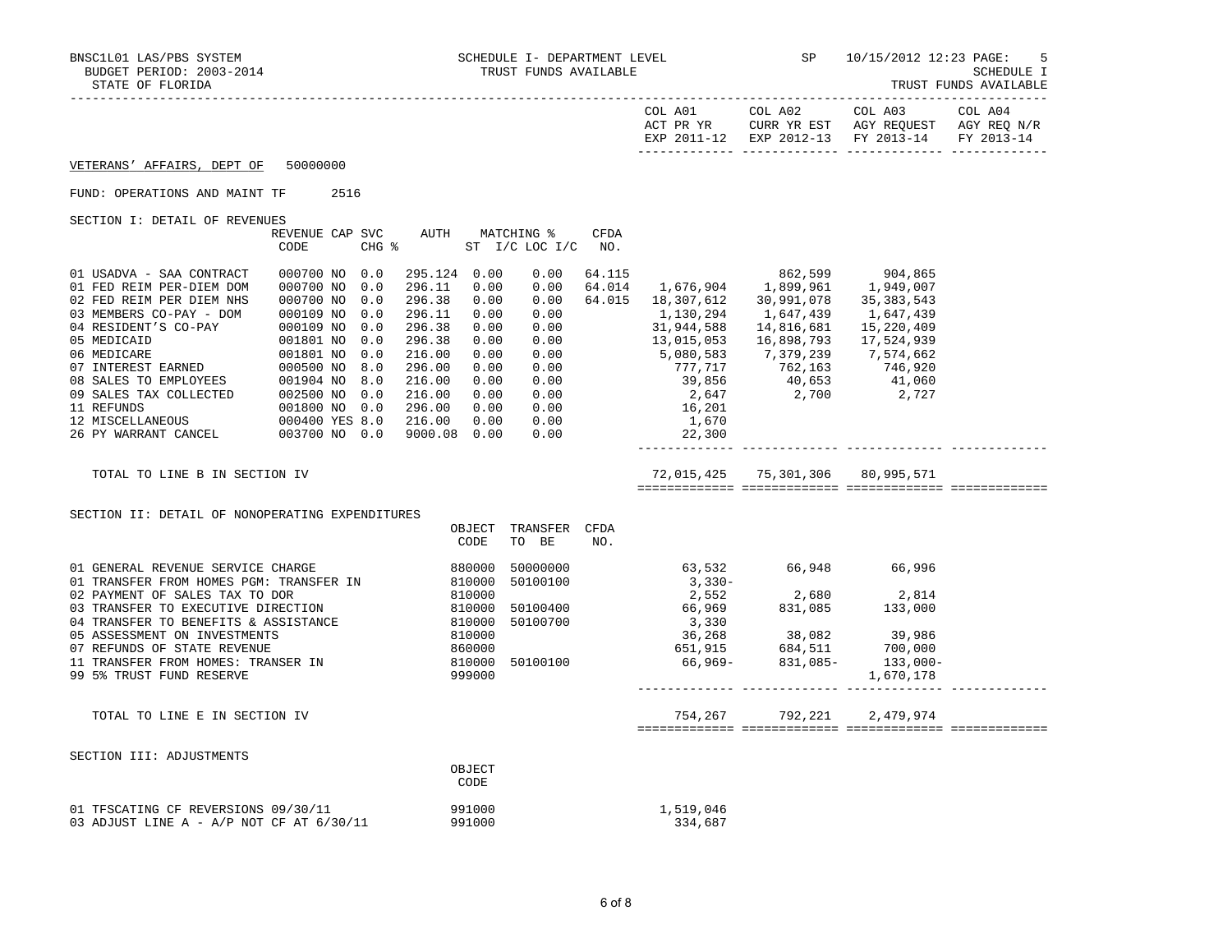TRUST FUNDS AVAILABLE

|                                                                                                                                                                                                                                          |                                              |                             |        |                               |     |           |                                                                                                                                                                                                                                                                                  | EXP 2011-12 EXP 2012-13 FY 2013-14 FY 2013-14 |  |
|------------------------------------------------------------------------------------------------------------------------------------------------------------------------------------------------------------------------------------------|----------------------------------------------|-----------------------------|--------|-------------------------------|-----|-----------|----------------------------------------------------------------------------------------------------------------------------------------------------------------------------------------------------------------------------------------------------------------------------------|-----------------------------------------------|--|
| VETERANS' AFFAIRS, DEPT OF 50000000                                                                                                                                                                                                      |                                              |                             |        |                               |     |           |                                                                                                                                                                                                                                                                                  |                                               |  |
| FUND: OPERATIONS AND MAINT TF 2516                                                                                                                                                                                                       |                                              |                             |        |                               |     |           |                                                                                                                                                                                                                                                                                  |                                               |  |
| SECTION I: DETAIL OF REVENUES                                                                                                                                                                                                            |                                              |                             |        |                               |     |           |                                                                                                                                                                                                                                                                                  |                                               |  |
|                                                                                                                                                                                                                                          | REVENUE CAP SVC AUTH MATCHING % CFDA<br>CODE | CHG % ST I/C LOC I/C NO.    |        |                               |     |           |                                                                                                                                                                                                                                                                                  |                                               |  |
| 01 USADVA - SAA CONTRACT<br>01 FED REIM PER-DIEM DOM                                                                                                                                                                                     | 000700 NO 0.0<br>000700 NO 0.0               | 295.124 0.00<br>296.11 0.00 |        | 0.00<br>0.00                  |     |           | 64.115 862,599 904,865<br>64.014 1,676,904 1,899,961 1,949,007                                                                                                                                                                                                                   |                                               |  |
| 02 FED REIM PER DIEM NHS 000700 NO 0.0                                                                                                                                                                                                   |                                              | 296.38                      | 0.00   | 0.00                          |     |           | 64.015 18,307,612 30,991,078 35,383,543                                                                                                                                                                                                                                          |                                               |  |
|                                                                                                                                                                                                                                          |                                              |                             |        |                               |     |           |                                                                                                                                                                                                                                                                                  |                                               |  |
|                                                                                                                                                                                                                                          |                                              |                             |        |                               |     |           |                                                                                                                                                                                                                                                                                  |                                               |  |
|                                                                                                                                                                                                                                          |                                              |                             |        |                               |     |           |                                                                                                                                                                                                                                                                                  |                                               |  |
|                                                                                                                                                                                                                                          |                                              |                             |        |                               |     |           |                                                                                                                                                                                                                                                                                  |                                               |  |
|                                                                                                                                                                                                                                          |                                              |                             |        |                               |     |           |                                                                                                                                                                                                                                                                                  |                                               |  |
|                                                                                                                                                                                                                                          |                                              |                             |        |                               |     |           |                                                                                                                                                                                                                                                                                  |                                               |  |
|                                                                                                                                                                                                                                          |                                              |                             |        |                               |     |           |                                                                                                                                                                                                                                                                                  |                                               |  |
|                                                                                                                                                                                                                                          |                                              |                             |        |                               |     |           |                                                                                                                                                                                                                                                                                  |                                               |  |
| 02 FED REIM PER DIEM NHS<br>000700 NO 0.0 296.38 0.00<br>03 MEMBERS CO-PAY - DOM 000109 NO 0.0 296.38 0.00<br>04 RESIDENT'S CO-PAY 000109 NO 0.0 296.38 0.00<br>05 MEDICAID 001801 NO 0.0 296.38 0.00<br>06 MEDICARE 001801 NO 0.0 216.0 |                                              |                             |        |                               |     |           | $\begin{array}{cccccccc} 250.58 & 0.00 & 0.00 & 0.00 & 0.00 & 0.00 & 0.00 & 0.00 & 0.00 & 0.00 & 0.00 & 0.00 & 0.00 & 0.00 & 0.00 & 0.00 & 0.00 & 0.00 & 0.00 & 0.00 & 0.00 & 0.00 & 0.00 & 0.00 & 0.00 & 0.00 & 0.00 & 0.00 & 0.00 & 0.00 & 0.00 & 0.00 & 0.00 & 0.00 & 0.00 &$ |                                               |  |
| TOTAL TO LINE B IN SECTION IV                                                                                                                                                                                                            |                                              |                             |        |                               |     |           | 72,015,425 75,301,306 80,995,571                                                                                                                                                                                                                                                 |                                               |  |
|                                                                                                                                                                                                                                          |                                              |                             |        |                               |     |           |                                                                                                                                                                                                                                                                                  |                                               |  |
| SECTION II: DETAIL OF NONOPERATING EXPENDITURES                                                                                                                                                                                          |                                              |                             |        |                               |     |           |                                                                                                                                                                                                                                                                                  |                                               |  |
|                                                                                                                                                                                                                                          |                                              |                             | CODE   | OBJECT TRANSFER CFDA<br>TO BE | NO. |           |                                                                                                                                                                                                                                                                                  |                                               |  |
|                                                                                                                                                                                                                                          |                                              |                             |        |                               |     |           |                                                                                                                                                                                                                                                                                  |                                               |  |
|                                                                                                                                                                                                                                          |                                              |                             |        |                               |     |           |                                                                                                                                                                                                                                                                                  |                                               |  |
|                                                                                                                                                                                                                                          |                                              |                             |        |                               |     |           |                                                                                                                                                                                                                                                                                  |                                               |  |
|                                                                                                                                                                                                                                          |                                              |                             |        |                               |     |           |                                                                                                                                                                                                                                                                                  |                                               |  |
|                                                                                                                                                                                                                                          |                                              |                             |        |                               |     |           |                                                                                                                                                                                                                                                                                  |                                               |  |
|                                                                                                                                                                                                                                          |                                              |                             |        |                               |     |           |                                                                                                                                                                                                                                                                                  |                                               |  |
|                                                                                                                                                                                                                                          |                                              |                             |        |                               |     |           |                                                                                                                                                                                                                                                                                  |                                               |  |
| 99 5% TRUST FUND RESERVE                                                                                                                                                                                                                 |                                              |                             | 999000 |                               |     |           |                                                                                                                                                                                                                                                                                  | 1,670,178                                     |  |
|                                                                                                                                                                                                                                          |                                              |                             |        |                               |     |           |                                                                                                                                                                                                                                                                                  |                                               |  |
| TOTAL TO LINE E IN SECTION IV                                                                                                                                                                                                            |                                              |                             |        |                               |     |           | 754, 267 792, 221 2, 479, 974                                                                                                                                                                                                                                                    |                                               |  |
|                                                                                                                                                                                                                                          |                                              |                             |        |                               |     |           |                                                                                                                                                                                                                                                                                  |                                               |  |
| SECTION III: ADJUSTMENTS                                                                                                                                                                                                                 |                                              |                             | OBJECT |                               |     |           |                                                                                                                                                                                                                                                                                  |                                               |  |
|                                                                                                                                                                                                                                          |                                              |                             | CODE   |                               |     |           |                                                                                                                                                                                                                                                                                  |                                               |  |
| 01 TFSCATING CF REVERSIONS 09/30/11                                                                                                                                                                                                      |                                              |                             | 991000 |                               |     | 1,519,046 |                                                                                                                                                                                                                                                                                  |                                               |  |
| 03 ADJUST LINE A - A/P NOT CF AT 6/30/11                                                                                                                                                                                                 |                                              |                             | 991000 |                               |     | 334,687   |                                                                                                                                                                                                                                                                                  |                                               |  |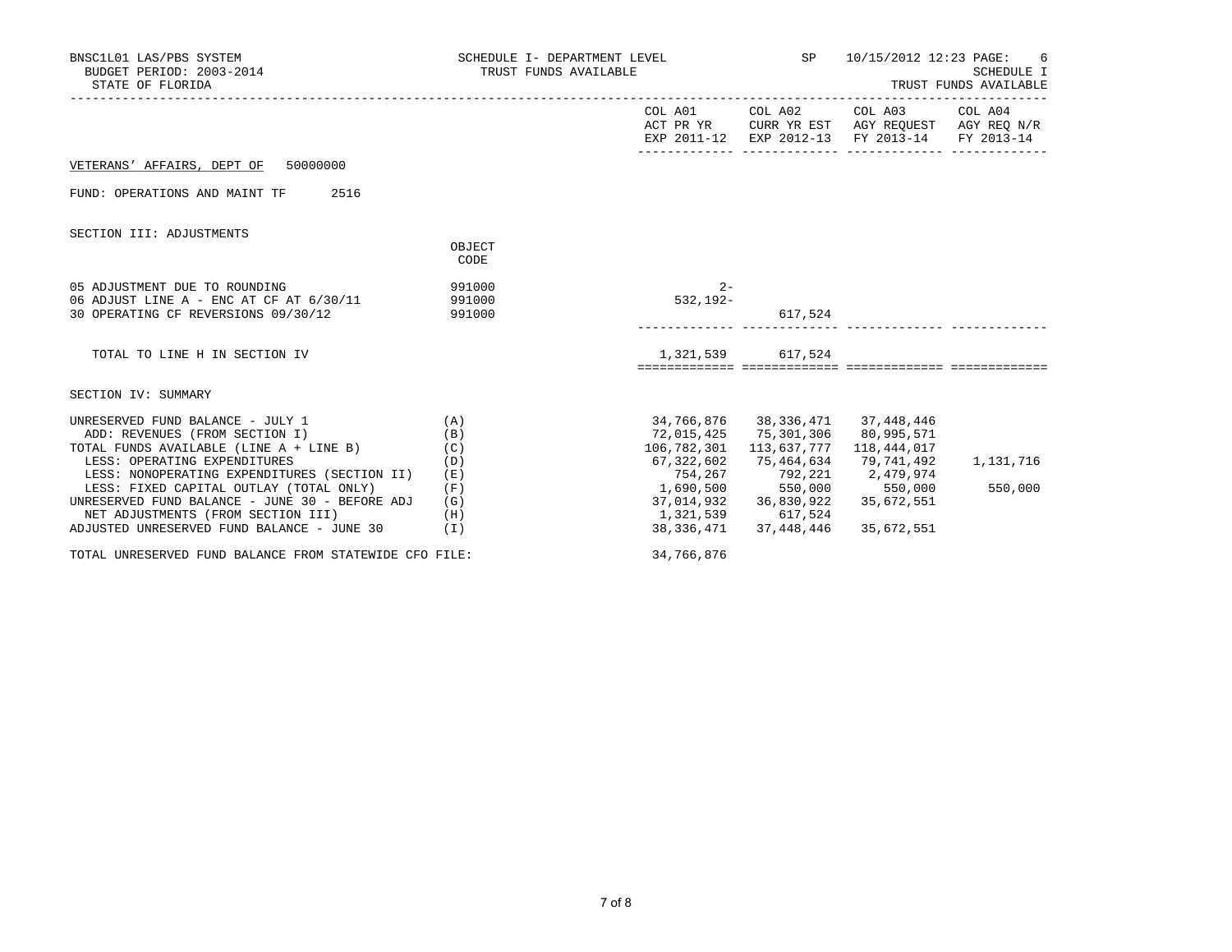| BNSC1L01 LAS/PBS SYSTEM<br>BUDGET PERIOD: 2003-2014<br>STATE OF FLORIDA                                                                                                                                                                                                                    |                                               | SCHEDULE I- DEPARTMENT LEVEL SP<br>TRUST FUNDS AVAILABLE                                                                             |                                                               | 10/15/2012 12:23 PAGE: 6<br>SCHEDULE I<br>TRUST FUNDS AVAILABLE                                                                   |                      |  |
|--------------------------------------------------------------------------------------------------------------------------------------------------------------------------------------------------------------------------------------------------------------------------------------------|-----------------------------------------------|--------------------------------------------------------------------------------------------------------------------------------------|---------------------------------------------------------------|-----------------------------------------------------------------------------------------------------------------------------------|----------------------|--|
|                                                                                                                                                                                                                                                                                            |                                               |                                                                                                                                      |                                                               | COL A01 COL A02 COL A03 COL A04<br>ACT PR YR CURR YR EST AGY REQUEST AGY REQ N/R<br>EXP 2011-12 EXP 2012-13 FY 2013-14 FY 2013-14 |                      |  |
| VETERANS' AFFAIRS, DEPT OF 50000000                                                                                                                                                                                                                                                        |                                               |                                                                                                                                      |                                                               |                                                                                                                                   |                      |  |
| FUND: OPERATIONS AND MAINT TF<br>2516                                                                                                                                                                                                                                                      |                                               |                                                                                                                                      |                                                               |                                                                                                                                   |                      |  |
| SECTION III: ADJUSTMENTS                                                                                                                                                                                                                                                                   | OBJECT<br>CODE                                |                                                                                                                                      |                                                               |                                                                                                                                   |                      |  |
| 991000<br>05 ADJUSTMENT DUE TO ROUNDING<br>06 ADJUST LINE A - ENC AT CF AT 6/30/11 991000<br>30 OPERATING CF REVERSIONS 09/30/12                                                                                                                                                           | 991000                                        | $2 -$<br>532,192-<br>617,524                                                                                                         |                                                               |                                                                                                                                   |                      |  |
| TOTAL TO LINE H IN SECTION IV                                                                                                                                                                                                                                                              |                                               |                                                                                                                                      | 1,321,539 617,524                                             |                                                                                                                                   |                      |  |
| SECTION IV: SUMMARY                                                                                                                                                                                                                                                                        |                                               |                                                                                                                                      |                                                               |                                                                                                                                   |                      |  |
| UNRESERVED FUND BALANCE - JULY 1<br>ADD: REVENUES (FROM SECTION I)<br>TOTAL FUNDS AVAILABLE (LINE A + LINE B)<br>LESS: OPERATING EXPENDITURES<br>LESS: NONOPERATING EXPENDITURES (SECTION II)<br>LESS: FIXED CAPITAL OUTLAY (TOTAL ONLY)<br>UNRESERVED FUND BALANCE - JUNE 30 - BEFORE ADJ | (A)<br>(B)<br>(C)<br>(D)<br>(E)<br>(F)<br>(G) | 34,766,876 38,336,471 37,448,446<br>106,782,301<br>67,322,602<br>754,267<br>$1,690,500$ $550,000$ $550,000$<br>37,014,932 36,830,922 | 72,015,425 75,301,306 80,995,571<br>113,637,777<br>75,464,634 | 118,444,017<br>79,741,492<br>792,221 2,479,974<br>35,672,551                                                                      | 1,131,716<br>550,000 |  |
| NET ADJUSTMENTS (FROM SECTION III)<br>ADJUSTED UNRESERVED FUND BALANCE - JUNE 30                                                                                                                                                                                                           | (H)<br>(I)                                    | 1,321,539 617,524                                                                                                                    | 38, 336, 471 37, 448, 446                                     | 35,672,551                                                                                                                        |                      |  |
| TOTAL UNRESERVED FUND BALANCE FROM STATEWIDE CFO FILE:                                                                                                                                                                                                                                     |                                               | 34,766,876                                                                                                                           |                                                               |                                                                                                                                   |                      |  |